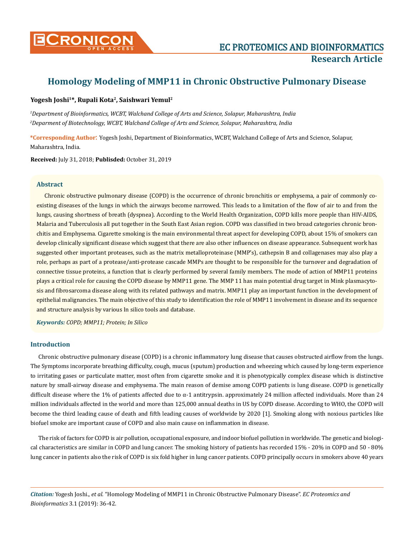

# **Homology Modeling of MMP11 in Chronic Obstructive Pulmonary Disease**

# **Yogesh Joshi1\*, Rupali Kota2, Saishwari Yemul2**

*1 Department of Bioinformatics, WCBT, Walchand College of Arts and Science, Solapur, Maharashtra, India 2 Deparment of Biotechnology, WCBT, Walchand College of Arts and Science, Solapur, Maharashtra, India*

**\*Corresponding Author**: Yogesh Joshi, Department of Bioinformatics, WCBT, Walchand College of Arts and Science, Solapur, Maharashtra, India.

**Received:** July 31, 2018; **Publisded:** October 31, 2019

## **Abstract**

Chronic obstructive pulmonary disease (COPD) is the occurrence of chronic bronchitis or emphysema, a pair of commonly coexisting diseases of the lungs in which the airways become narrowed. This leads to a limitation of the flow of air to and from the lungs, causing shortness of breath (dyspnea). According to the World Health Organization, COPD kills more people than HIV-AIDS, Malaria and Tuberculosis all put together in the South East Asian region. COPD was classified in two broad categories chronic bronchitis and Emphysema. Cigarette smoking is the main environmental threat aspect for developing COPD, about 15% of smokers can develop clinically significant disease which suggest that there are also other influences on disease appearance. Subsequent work has suggested other important proteases, such as the matrix metalloproteinase (MMP's), cathepsin B and collagenases may also play a role, perhaps as part of a protease/anti-protease cascade MMPs are thought to be responsible for the turnover and degradation of connective tissue proteins, a function that is clearly performed by several family members. The mode of action of MMP11 proteins plays a critical role for causing the COPD disease by MMP11 gene. The MMP 11 has main potential drug target in Mink plasmacytosis and fibrosarcoma disease along with its related pathways and matrix. MMP11 play an important function in the development of epithelial malignancies. The main objective of this study to identification the role of MMP11 involvement in disease and its sequence and structure analysis by various In silico tools and database.

*Keywords: COPD; MMP11; Protein; In Silico*

## **Introduction**

Chronic obstructive pulmonary disease (COPD) is a chronic inflammatory lung disease that causes obstructed airflow from the lungs. The Symptoms incorporate breathing difficulty, cough, mucus (sputum) production and wheezing which caused by long-term experience to irritating gases or particulate matter, most often from cigarette smoke and it is phenotypically complex disease which is distinctive nature by small-airway disease and emphysema. The main reason of demise among COPD patients is lung disease. COPD is genetically difficult disease where the 1% of patients affected due to  $\alpha$ -1 antitrypsin. approximately 24 million affected individuals. More than 24 million individuals affected in the world and more than 125,000 annual deaths in US by COPD disease. According to WHO, the COPD will become the third leading cause of death and fifth leading causes of worldwide by 2020 [1]. Smoking along with noxious particles like biofuel smoke are important cause of COPD and also main cause on inflammation in disease.

The risk of factors for COPD is air pollution, occupational exposure, and indoor biofuel pollution in worldwide. The genetic and biological characteristics are similar in COPD and lung cancer. The smoking history of patients has recorded 15% - 20% in COPD and 50 - 80% lung cancer in patients also the risk of COPD is six fold higher in lung cancer patients. COPD principally occurs in smokers above 40 years

*Citation:* Yogesh Joshi., *et al*. "Homology Modeling of MMP11 in Chronic Obstructive Pulmonary Disease". *EC Proteomics and Bioinformatics* 3.1 (2019): 36-42.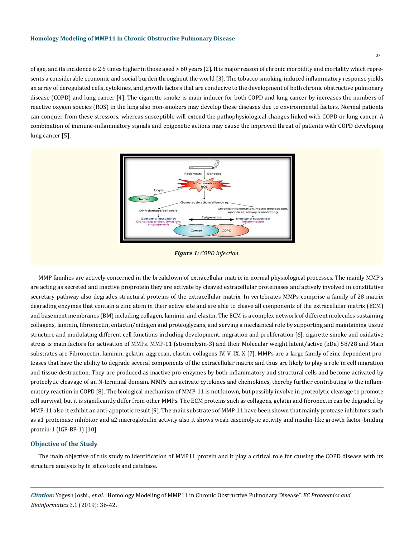of age, and its incidence is 2.5 times higher in those aged > 60 years [2]. It is major reason of chronic morbidity and mortality which represents a considerable economic and social burden throughout the world [3]. The tobacco smoking-induced inflammatory response yields an array of deregulated cells, cytokines, and growth factors that are conducive to the development of both chronic obstructive pulmonary disease (COPD) and lung cancer [4]. The cigarette smoke is main inducer for both COPD and lung cancer by increases the numbers of reactive oxygen species (ROS) in the lung also non-smokers may develop these diseases due to environmental factors. Normal patients can conquer from these stressors, whereas susceptible will extend the pathophysiological changes linked with COPD or lung cancer. A combination of immune-inflammatory signals and epigenetic actions may cause the improved threat of patients with COPD developing lung cancer [5].



*Figure 1: COPD Infection.*

MMP families are actively concerned in the breakdown of extracellular matrix in normal physiological processes. The mainly MMP's are acting as secreted and inactive proprotein they are activate by cleaved extracellular proteinases and actively involved in constitutive secretary pathway also degrades structural proteins of the extracellular matrix. In vertebrates MMPs comprise a family of 28 matrix degrading enzymes that contain a zinc atom in their active site and are able to cleave all components of the extracellular matrix (ECM) and basement membranes (BM) including collagen, laminin, and elastin. The ECM is a complex network of different molecules sustaining collagens, laminin, fibronectin, entactin/nidogen and proteoglycans, and serving a mechanical role by supporting and maintaining tissue structure and modulating different cell functions including development, migration and proliferation [6]. cigarette smoke and oxidative stress is main factors for activation of MMPs. MMP-11 (stromelysin-3) and their Molecular weight latent/active (kDa) 58/28 and Main substrates are Fibronectin, laminin, gelatin, aggrecan, elastin, collagens IV, V, IX, X [7]. MMPs are a large family of zinc-dependent proteases that have the ability to degrade several components of the extracellular matrix and thus are likely to play a role in cell migration and tissue destruction. They are produced as inactive pro-enzymes by both inflammatory and structural cells and become activated by proteolytic cleavage of an N-terminal domain. MMPs can activate cytokines and chemokines, thereby further contributing to the inflammatory reaction in COPD [8]. The biological mechanism of MMP-11 is not known, but possibly involve in proteolytic cleavage to promote cell survival, but it is significantly differ from other MMPs. The ECM proteins such as collagens, gelatin and fibronectin can be degraded by MMP-11 also it exhibit an anti-apoptotic result [9]. The main substrates of MMP-11 have been shown that mainly protease inhibitors such as a1 proteinase inhibitor and a2 macroglobulin activity also it shows weak caseinolytic activity and insulin-like growth factor-binding protein-1 (IGF-BP-1) [10].

## **Objective of the Study**

The main objective of this study to identification of MMP11 protein and it play a critical role for causing the COPD disease with its structure analysis by In silico tools and database.

*Citation:* Yogesh Joshi., *et al*. "Homology Modeling of MMP11 in Chronic Obstructive Pulmonary Disease". *EC Proteomics and Bioinformatics* 3.1 (2019): 36-42.

37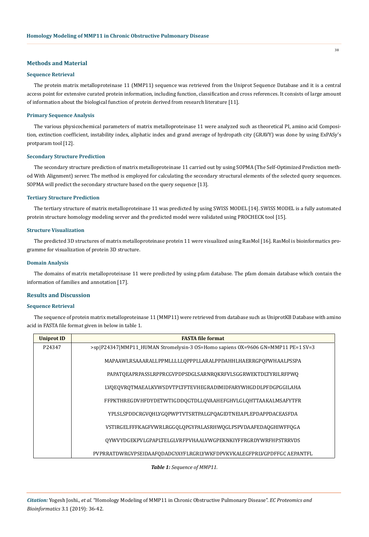## **Methods and Material**

#### **Sequence Retrieval**

The protein matrix metalloproteinase 11 (MMP11) sequence was retrieved from the Uniprot Sequence Database and it is a central access point for extensive curated protein information, including function, classification and cross references. It consists of large amount of information about the biological function of protein derived from research literature [11].

#### **Primary Sequence Analysis**

The various physicochemical parameters of matrix metalloproteinase 11 were analyzed such as theoretical PI, amino acid Composition, extinction coefficient, instability index, aliphatic index and grand average of hydropath city (GRAVY) was done by using ExPASy's protparam tool [12].

## **Secondary Structure Prediction**

The secondary structure prediction of matrix metalloproteinase 11 carried out by using SOPMA (The Self-Optimized Prediction method With Alignment) server. The method is employed for calculating the secondary structural elements of the selected query sequences. SOPMA will predict the secondary structure based on the query sequence [13].

## **Tertiary Structure Prediction**

The tertiary structure of matrix metalloproteinase 11 was predicted by using SWISS MODEL [14]. SWISS MODEL is a fully automated protein structure homology modeling server and the predicted model were validated using PROCHECK tool [15].

#### **Structure Visualization**

The predicted 3D structures of matrix metalloproteinase protein 11 were visualized using RasMol [16]. RasMol is bioinformatics programme for visualization of protein 3D structure.

## **Domain Analysis**

The domains of matrix metalloproteinase 11 were predicted by using pfam database. The pfam domain database which contain the information of families and annotation [17].

#### **Results and Discussion**

## **Sequence Retrieval**

The sequence of protein matrix metalloproteinase 11 (MMP11) were retrieved from database such as UniprotKB Database with amino acid in FASTA file format given in below in table 1.

| <b>Uniprot ID</b> | <b>FASTA file format</b>                                                        |
|-------------------|---------------------------------------------------------------------------------|
| P24347            | >sp P24347 MMP11_HUMAN Stromelysin-3 OS=Homo sapiens OX=9606 GN=MMP11 PE=1 SV=3 |
|                   | MAPAAWLRSAAARALLPPMLLLLLQPPPLLARALPPDAHHLHAERRGPQPWHAALPSSPA                    |
|                   | PAPATQEAPRPASSLRPPRCGVPDPSDGLSARNRQKRFVLSGGRWEKTDLTYRILRFPWQ                    |
|                   | LVQEQVRQTMAEALKVWSDVTPLTFTEVHEGRADIMIDFARYWHGDDLPFDGPGGILAHA                    |
|                   | FFPKTHREGDVHFDYDETWTIGDDOGTDLLOVAAHEFGHVLGLOHTTAAKALMSAFYTFR                    |
|                   | YPLSLSPDDCRGVOHLYGOPWPTVTSRTPALGPOAGIDTNEIAPLEPDAPPDACEASFDA                    |
|                   | VSTIRGELFFFKAGFVWRLRGGQLQPGYPALASRHWQGLPSPVDAAFEDAQGHIWFFQGA                    |
|                   | QYWVYDGEKPVLGPAPLTELGLVRFPVHAALVWGPEKNKIYFFRGRDYWRFHPSTRRVDS                    |
|                   | PVPRRATDWRGVPSEIDAAFQDADGYAYFLRGRLYWKFDPVKVKALEGFPRLVGPDFFGC AEPANTFL           |

## *Table 1: Sequence of MMP11.*

*Citation:* Yogesh Joshi., *et al*. "Homology Modeling of MMP11 in Chronic Obstructive Pulmonary Disease". *EC Proteomics and Bioinformatics* 3.1 (2019): 36-42.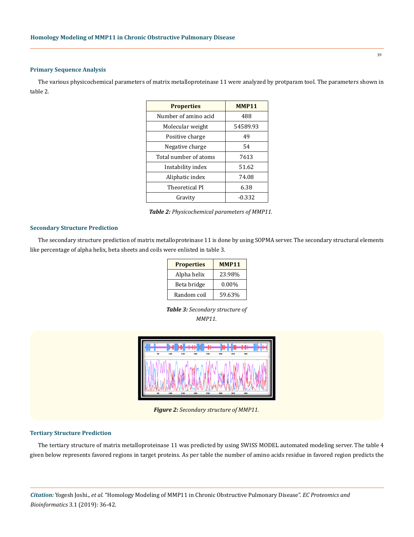#### **Primary Sequence Analysis**

The various physicochemical parameters of matrix metalloproteinase 11 were analyzed by protparam tool. The parameters shown in table 2.

| <b>Properties</b>           | <b>MMP11</b> |  |
|-----------------------------|--------------|--|
| Number of amino acid<br>488 |              |  |
| Molecular weight            | 54589.93     |  |
| Positive charge             | 49           |  |
| Negative charge             | 54           |  |
| Total number of atoms       | 7613         |  |
| 51.62<br>Instability index  |              |  |
| Aliphatic index             | 74.08        |  |
| Theoretical PI              | 6.38         |  |
| Gravity                     | $-0.332$     |  |

*Table 2: Physicochemical parameters of MMP11.*

## **Secondary Structure Prediction**

The secondary structure prediction of matrix metalloproteinase 11 is done by using SOPMA server. The secondary structural elements like percentage of alpha helix, beta sheets and coils were enlisted in table 3.

| <b>Properties</b> | <b>MMP11</b> |
|-------------------|--------------|
| Alpha helix       | 23.98%       |
| Beta bridge       | $0.00\%$     |
| Random coil       | 59.63%       |

*Table 3: Secondary structure of MMP11.*



*Figure 2: Secondary structure of MMP11.*

#### **Tertiary Structure Prediction**

The tertiary structure of matrix metalloproteinase 11 was predicted by using SWISS MODEL automated modeling server. The table 4 given below represents favored regions in target proteins. As per table the number of amino acids residue in favored region predicts the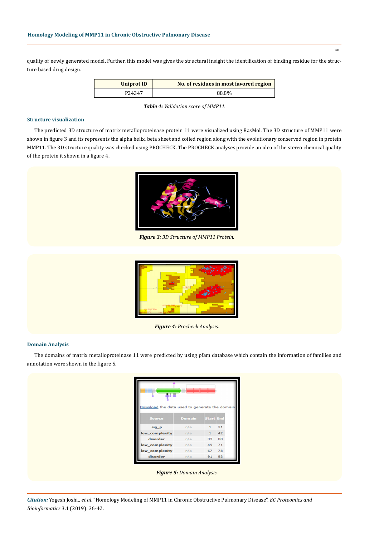quality of newly generated model. Further, this model was gives the structural insight the identification of binding residue for the structure based drug design.

| <b>Uniprot ID</b> | No. of residues in most favored region |
|-------------------|----------------------------------------|
| P24347            | 88.8%                                  |

*Table 4: Validation score of MMP11.*

# **Structure visualization**

The predicted 3D structure of matrix metalloproteinase protein 11 were visualized using RasMol. The 3D structure of MMP11 were shown in figure 3 and its represents the alpha helix, beta sheet and coiled region along with the evolutionary conserved region in protein MMP11. The 3D structure quality was checked using PROCHECK. The PROCHECK analyses provide an idea of the stereo chemical quality of the protein it shown in a figure 4.



*Figure 3: 3D Structure of MMP11 Protein.*



*Figure 4: Procheck Analysis.*

#### **Domain Analysis**

The domains of matrix metalloproteinase 11 were predicted by using pfam database which contain the information of families and annotation were shown in the figure 5.

| ╙┸╨<br>Download the data used to generate the domain |               |              |    |  |  |  |  |  |
|------------------------------------------------------|---------------|--------------|----|--|--|--|--|--|
| <b>Source</b>                                        | <b>Domain</b> | Start End    |    |  |  |  |  |  |
| sig p                                                | n/a           | 1            | 31 |  |  |  |  |  |
| low_complexity                                       | n/a           | $\mathbf{1}$ | 42 |  |  |  |  |  |
| disorder                                             | n/a           | 33           | 88 |  |  |  |  |  |
| low_complexity                                       | n/a           | 49           | 71 |  |  |  |  |  |
| low_complexity                                       | n/a           | 67           | 78 |  |  |  |  |  |
| disorder                                             | n/a           | 91           | 93 |  |  |  |  |  |

*Figure 5: Domain Analysis.*

*Citation:* Yogesh Joshi., *et al*. "Homology Modeling of MMP11 in Chronic Obstructive Pulmonary Disease". *EC Proteomics and Bioinformatics* 3.1 (2019): 36-42.

40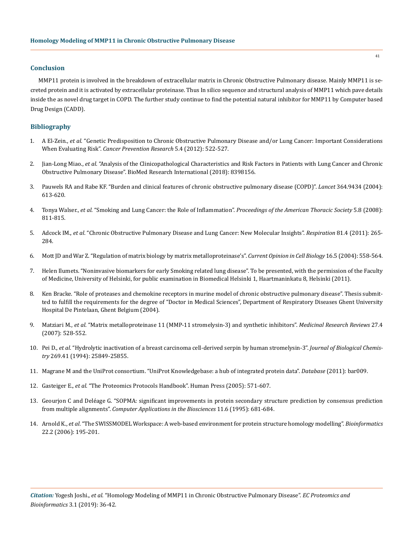## **Conclusion**

MMP11 protein is involved in the breakdown of extracellular matrix in Chronic Obstructive Pulmonary disease. Mainly MMP11 is secreted protein and it is activated by extracellular proteinase. Thus In silico sequence and structural analysis of MMP11 which pave details inside the as novel drug target in COPD. The further study continue to find the potential natural inhibitor for MMP11 by Computer based Drug Design (CADD).

## **Bibliography**

- 1. A El-Zein., *et al*[. "Genetic Predisposition to Chronic Obstructive Pulmonary Disease and/or Lung Cancer: Important Considerations](https://www.ncbi.nlm.nih.gov/pubmed/22491518) When Evaluating Risk". *[Cancer Prevention Research](https://www.ncbi.nlm.nih.gov/pubmed/22491518)* 5.4 (2012): 522-527.
- 2. Jian-Long Miao., *et al*[. "Analysis of the Clinicopathological Characteristics and Risk Factors in Patients with Lung Cancer and Chronic](https://www.hindawi.com/journals/bmri/2018/8398156/) [Obstructive Pulmonary Disease". BioMed Research International \(2018\): 8398156.](https://www.hindawi.com/journals/bmri/2018/8398156/)
- 3. [Pauwels RA and Rabe KF. "Burden and clinical features of chronic obstructive pulmonary disease \(COPD\)".](https://www.ncbi.nlm.nih.gov/pubmed/15313363) *Lancet* 364.9434 (2004): [613-620.](https://www.ncbi.nlm.nih.gov/pubmed/15313363)
- 4. Tonya Walser., *et al*[. "Smoking and Lung Cancer: the Role of Inflammation".](https://www.ncbi.nlm.nih.gov/pubmed/19017734) *Proceedings of the American Thoracic Society* 5.8 (2008): [811-815.](https://www.ncbi.nlm.nih.gov/pubmed/19017734)
- 5. Adcock IM., *et al*[. "Chronic Obstructive Pulmonary Disease and Lung Cancer: New Molecular Insights".](https://www.ncbi.nlm.nih.gov/pubmed/21430413) *Respiration* 81.4 (2011): 265- [284.](https://www.ncbi.nlm.nih.gov/pubmed/21430413)
- 6. [Mott JD and War Z. "Regulation of matrix biology by matrix metalloproteinase's".](https://www.ncbi.nlm.nih.gov/pubmed/15363807) *Current Opinion in Cell Biology* 16.5 (2004): 558-564.
- 7. [Helen Ilumets. "Noninvasive biomarkers for early Smoking related lung disease". To be presented, with the permission of the Faculty](https://core.ac.uk/download/pdf/14922278.pdf) [of Medicine, University of Helsinki, for public examination in Biomedical Helsinki 1, Haartmaninkatu 8, Helsinki \(2011\).](https://core.ac.uk/download/pdf/14922278.pdf)
- 8. Ken Bracke. "Role of proteases and chemokine receptors in murine model of chronic obstructive pulmonary disease". Thesis submitted to fulfill the requirements for the degree of "Doctor in Medical Sciences", Department of Respiratory Diseases Ghent University Hospital De Pintelaan, Ghent Belgium (2004).
- 9. Matziari M., *et al*[. "Matrix metalloproteinase 11 \(MMP-11 stromelysin-3\) and synthetic inhibitors".](https://www.ncbi.nlm.nih.gov/pubmed/16710861) *Medicinal Research Reviews* 27.4 [\(2007\): 528-552.](https://www.ncbi.nlm.nih.gov/pubmed/16710861)
- 10. Pei D., *et al*[. "Hydrolytic inactivation of a breast carcinoma cell-derived serpin by human stromelysin-3".](https://www.ncbi.nlm.nih.gov/pubmed/7523394) *Journal of Biological Chemistry* [269.41 \(1994\): 25849-25855.](https://www.ncbi.nlm.nih.gov/pubmed/7523394)
- 11. [Magrane M and the UniProt consortium. "UniProt Knowledgebase: a hub of integrated protein data".](https://www.ncbi.nlm.nih.gov/pmc/articles/PMC3070428/) *Database* (2011): bar009.
- 12. Gasteiger E., *et al*. "The Proteomics Protocols Handbook". Human Press (2005): 571-607.
- 13. [Geourjon C and Deléage G. "SOPMA: significant improvements in protein secondary structure prediction by consensus prediction](https://www.ncbi.nlm.nih.gov/pubmed/8808585) from multiple alignments". *[Computer Applications in the Biosciences](https://www.ncbi.nlm.nih.gov/pubmed/8808585)* 11.6 (1995): 681-684.
- 14. Arnold K., *et al*[. "The SWISSMODEL Workspace: A web-based environment for protein structure homology modelling".](https://www.ncbi.nlm.nih.gov/pubmed/16301204) *Bioinformatics* [22.2 \(2006\): 195-201.](https://www.ncbi.nlm.nih.gov/pubmed/16301204)